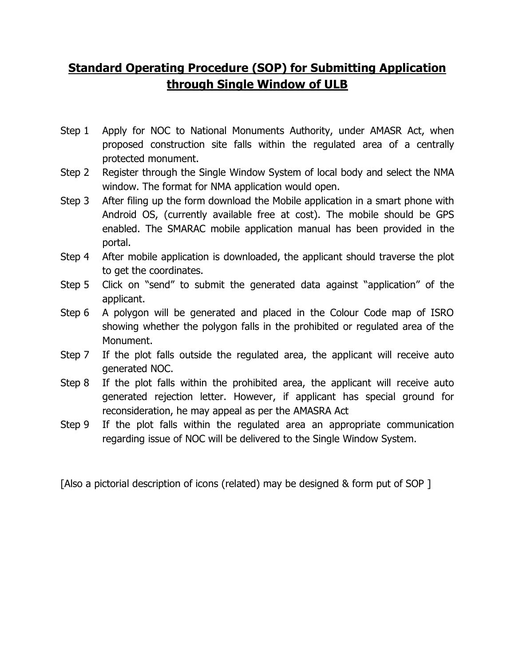## **Standard Operating Procedure (SOP) for Submitting Application through Single Window of ULB**

- Step 1 Apply for NOC to National Monuments Authority, under AMASR Act, when proposed construction site falls within the regulated area of a centrally protected monument.
- Step 2 Register through the Single Window System of local body and select the NMA window. The format for NMA application would open.
- Step 3 After filing up the form download the Mobile application in a smart phone with Android OS, (currently available free at cost). The mobile should be GPS enabled. The SMARAC mobile application manual has been provided in the portal.
- Step 4 After mobile application is downloaded, the applicant should traverse the plot to get the coordinates.
- Step 5 Click on "send" to submit the generated data against "application" of the applicant.
- Step 6 A polygon will be generated and placed in the Colour Code map of ISRO showing whether the polygon falls in the prohibited or regulated area of the Monument.
- Step 7 If the plot falls outside the regulated area, the applicant will receive auto generated NOC.
- Step 8 If the plot falls within the prohibited area, the applicant will receive auto generated rejection letter. However, if applicant has special ground for reconsideration, he may appeal as per the AMASRA Act
- Step 9 If the plot falls within the regulated area an appropriate communication regarding issue of NOC will be delivered to the Single Window System.

[Also a pictorial description of icons (related) may be designed & form put of SOP ]